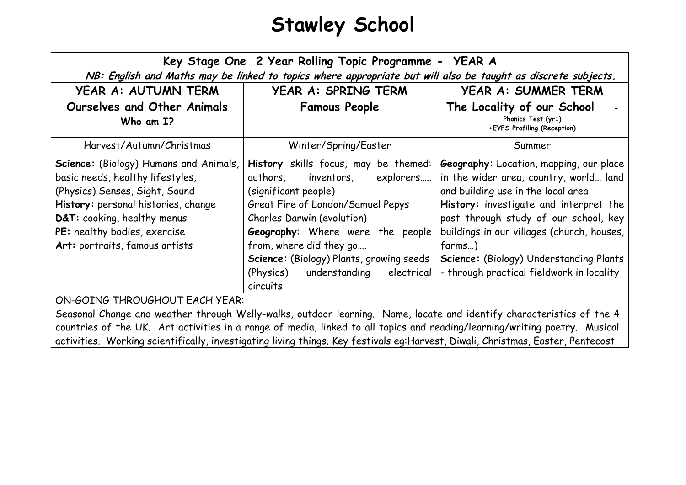## **Stawley School**

| Key Stage One 2 Year Rolling Topic Programme -<br>YEAR A<br>NB: English and Maths may be linked to topics where appropriate but will also be taught as discrete subjects.                                                                                   |                                                                                                                                                                                                                                                                                                                                                         |                                                                                                                                                                                                                                                                                                                                                            |
|-------------------------------------------------------------------------------------------------------------------------------------------------------------------------------------------------------------------------------------------------------------|---------------------------------------------------------------------------------------------------------------------------------------------------------------------------------------------------------------------------------------------------------------------------------------------------------------------------------------------------------|------------------------------------------------------------------------------------------------------------------------------------------------------------------------------------------------------------------------------------------------------------------------------------------------------------------------------------------------------------|
| YEAR A: AUTUMN TERM                                                                                                                                                                                                                                         | YEAR A: SPRING TERM                                                                                                                                                                                                                                                                                                                                     | YEAR A: SUMMER TERM                                                                                                                                                                                                                                                                                                                                        |
| Ourselves and Other Animals<br>Who am I?                                                                                                                                                                                                                    | <b>Famous People</b>                                                                                                                                                                                                                                                                                                                                    | The Locality of our School<br>Phonics Test (yr1)<br>+EYFS Profiling (Reception)                                                                                                                                                                                                                                                                            |
| Harvest/Autumn/Christmas                                                                                                                                                                                                                                    | Winter/Spring/Easter                                                                                                                                                                                                                                                                                                                                    | Summer                                                                                                                                                                                                                                                                                                                                                     |
| Science: (Biology) Humans and Animals,<br>basic needs, healthy lifestyles,<br>(Physics) Senses, Sight, Sound<br>History: personal histories, change<br>D&T: cooking, healthy menus<br>PE: healthy bodies, exercise<br>Art: portraits, famous artists<br>OMC | History skills focus, may be themed:<br>authors,<br>inventors,<br>explorers<br>(significant people)<br>Great Fire of London/Samuel Pepys<br><b>Charles Darwin (evolution)</b><br><b>Geography:</b> Where were the people<br>from, where did they go<br>Science: (Biology) Plants, growing seeds<br>understanding<br>(Physics)<br>electrical<br>circuits | Geography: Location, mapping, our place<br>in the wider area, country, world land<br>and building use in the local area<br>History: investigate and interpret the<br>past through study of our school, key<br>buildings in our villages (church, houses,<br>farms)<br>Science: (Biology) Understanding Plants<br>- through practical fieldwork in locality |

ON-GOING THROUGHOUT EACH YEAR:

Seasonal Change and weather through Welly-walks, outdoor learning. Name, locate and identify characteristics of the 4 countries of the UK. Art activities in a range of media, linked to all topics and reading/learning/writing poetry. Musical activities. Working scientifically, investigating living things. Key festivals eg:Harvest, Diwali, Christmas, Easter, Pentecost.